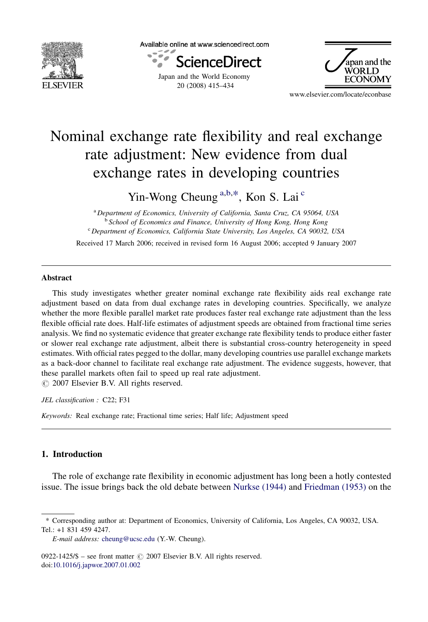

Available online at www.sciencedirect.com



20 (2008) 415–434



www.elsevier.com/locate/econbase

## Nominal exchange rate flexibility and real exchange rate adjustment: New evidence from dual exchange rates in developing countries

Yin-Wong Cheung<sup>a,b,\*</sup>, Kon S. Lai<sup>c</sup>

<sup>a</sup> Department of Economics, University of California, Santa Cruz, CA 95064, USA <sup>b</sup> School of Economics and Finance, University of Hong Kong, Hong Kong <sup>c</sup> Department of Economics, California State University, Los Angeles, CA 90032, USA

Received 17 March 2006; received in revised form 16 August 2006; accepted 9 January 2007

## Abstract

This study investigates whether greater nominal exchange rate flexibility aids real exchange rate adjustment based on data from dual exchange rates in developing countries. Specifically, we analyze whether the more flexible parallel market rate produces faster real exchange rate adjustment than the less flexible official rate does. Half-life estimates of adjustment speeds are obtained from fractional time series analysis. We find no systematic evidence that greater exchange rate flexibility tends to produce either faster or slower real exchange rate adjustment, albeit there is substantial cross-country heterogeneity in speed estimates. With official rates pegged to the dollar, many developing countries use parallel exchange markets as a back-door channel to facilitate real exchange rate adjustment. The evidence suggests, however, that these parallel markets often fail to speed up real rate adjustment.

 $\odot$  2007 Elsevier B.V. All rights reserved.

JEL classification : C22; F31

Keywords: Real exchange rate; Fractional time series; Half life; Adjustment speed

## 1. Introduction

The role of exchange rate flexibility in economic adjustment has long been a hotly contested issue. The issue brings back the old debate between [Nurkse \(1944\)](#page--1-0) and [Friedman \(1953\)](#page--1-0) on the

<sup>\*</sup> Corresponding author at: Department of Economics, University of California, Los Angeles, CA 90032, USA. Tel.: +1 831 459 4247.

E-mail address: [cheung@ucsc.edu](mailto:cheung@ucsc.edu) (Y.-W. Cheung).

<sup>0922-1425/\$ –</sup> see front matter  $\odot$  2007 Elsevier B.V. All rights reserved. doi:[10.1016/j.japwor.2007.01.002](http://dx.doi.org/10.1016/j.japwor.2007.01.002)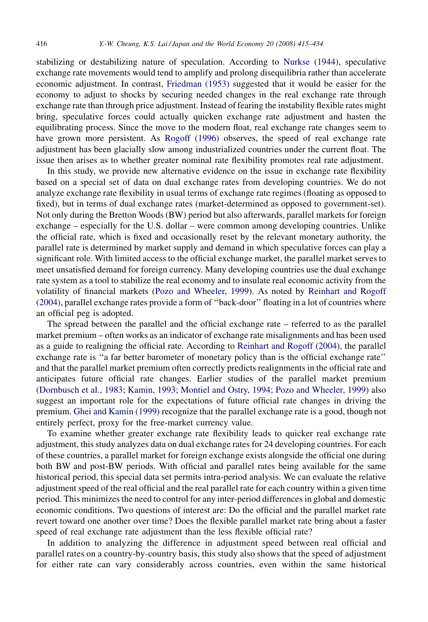stabilizing or destabilizing nature of speculation. According to [Nurkse \(1944\)](#page--1-0), speculative exchange rate movements would tend to amplify and prolong disequilibria rather than accelerate economic adjustment. In contrast, [Friedman \(1953\)](#page--1-0) suggested that it would be easier for the economy to adjust to shocks by securing needed changes in the real exchange rate through exchange rate than through price adjustment. Instead of fearing the instability flexible rates might bring, speculative forces could actually quicken exchange rate adjustment and hasten the equilibrating process. Since the move to the modern float, real exchange rate changes seem to have grown more persistent. As [Rogoff \(1996\)](#page--1-0) observes, the speed of real exchange rate adjustment has been glacially slow among industrialized countries under the current float. The issue then arises as to whether greater nominal rate flexibility promotes real rate adjustment.

In this study, we provide new alternative evidence on the issue in exchange rate flexibility based on a special set of data on dual exchange rates from developing countries. We do not analyze exchange rate flexibility in usual terms of exchange rate regimes (floating as opposed to fixed), but in terms of dual exchange rates (market-determined as opposed to government-set). Not only during the Bretton Woods (BW) period but also afterwards, parallel markets for foreign exchange – especially for the U.S. dollar – were common among developing countries. Unlike the official rate, which is fixed and occasionally reset by the relevant monetary authority, the parallel rate is determined by market supply and demand in which speculative forces can play a significant role. With limited access to the official exchange market, the parallel market serves to meet unsatisfied demand for foreign currency. Many developing countries use the dual exchange rate system as a tool to stabilize the real economy and to insulate real economic activity from the volatility of financial markets ([Pozo and Wheeler, 1999](#page--1-0)). As noted by [Reinhart and Rogoff](#page--1-0) [\(2004\)](#page--1-0), parallel exchange rates provide a form of ''back-door'' floating in a lot of countries where an official peg is adopted.

The spread between the parallel and the official exchange rate – referred to as the parallel market premium – often works as an indicator of exchange rate misalignments and has been used as a guide to realigning the official rate. According to [Reinhart and Rogoff \(2004\),](#page--1-0) the parallel exchange rate is ''a far better barometer of monetary policy than is the official exchange rate'' and that the parallel market premium often correctly predicts realignments in the official rate and anticipates future official rate changes. Earlier studies of the parallel market premium [\(Dornbusch et al., 1983; Kamin, 1993; Montiel and Ostry, 1994; Pozo and Wheeler, 1999](#page--1-0)) also suggest an important role for the expectations of future official rate changes in driving the premium. [Ghei and Kamin \(1999\)](#page--1-0) recognize that the parallel exchange rate is a good, though not entirely perfect, proxy for the free-market currency value.

To examine whether greater exchange rate flexibility leads to quicker real exchange rate adjustment, this study analyzes data on dual exchange rates for 24 developing countries. For each of these countries, a parallel market for foreign exchange exists alongside the official one during both BW and post-BW periods. With official and parallel rates being available for the same historical period, this special data set permits intra-period analysis. We can evaluate the relative adjustment speed of the real official and the real parallel rate for each country within a given time period. This minimizes the need to control for any inter-period differences in global and domestic economic conditions. Two questions of interest are: Do the official and the parallel market rate revert toward one another over time? Does the flexible parallel market rate bring about a faster speed of real exchange rate adjustment than the less flexible official rate?

In addition to analyzing the difference in adjustment speed between real official and parallel rates on a country-by-country basis, this study also shows that the speed of adjustment for either rate can vary considerably across countries, even within the same historical